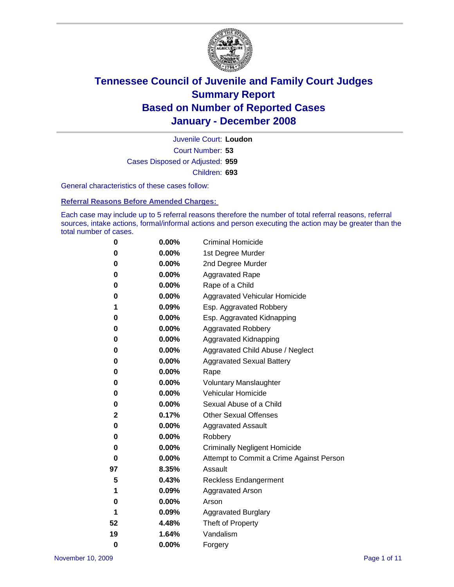

Court Number: **53** Juvenile Court: **Loudon** Cases Disposed or Adjusted: **959** Children: **693**

General characteristics of these cases follow:

**Referral Reasons Before Amended Charges:** 

Each case may include up to 5 referral reasons therefore the number of total referral reasons, referral sources, intake actions, formal/informal actions and person executing the action may be greater than the total number of cases.

| 0  | 0.00% | <b>Criminal Homicide</b>                 |
|----|-------|------------------------------------------|
| 0  | 0.00% | 1st Degree Murder                        |
| 0  | 0.00% | 2nd Degree Murder                        |
| 0  | 0.00% | <b>Aggravated Rape</b>                   |
| 0  | 0.00% | Rape of a Child                          |
| 0  | 0.00% | Aggravated Vehicular Homicide            |
| 1  | 0.09% | Esp. Aggravated Robbery                  |
| 0  | 0.00% | Esp. Aggravated Kidnapping               |
| 0  | 0.00% | Aggravated Robbery                       |
| 0  | 0.00% | Aggravated Kidnapping                    |
| 0  | 0.00% | Aggravated Child Abuse / Neglect         |
| 0  | 0.00% | <b>Aggravated Sexual Battery</b>         |
| 0  | 0.00% | Rape                                     |
| 0  | 0.00% | <b>Voluntary Manslaughter</b>            |
| 0  | 0.00% | Vehicular Homicide                       |
| 0  | 0.00% | Sexual Abuse of a Child                  |
| 2  | 0.17% | <b>Other Sexual Offenses</b>             |
| 0  | 0.00% | <b>Aggravated Assault</b>                |
| 0  | 0.00% | Robbery                                  |
| 0  | 0.00% | <b>Criminally Negligent Homicide</b>     |
| 0  | 0.00% | Attempt to Commit a Crime Against Person |
| 97 | 8.35% | Assault                                  |
| 5  | 0.43% | <b>Reckless Endangerment</b>             |
| 1  | 0.09% | <b>Aggravated Arson</b>                  |
| 0  | 0.00% | Arson                                    |
| 1  | 0.09% | <b>Aggravated Burglary</b>               |
| 52 | 4.48% | Theft of Property                        |
| 19 | 1.64% | Vandalism                                |
| 0  | 0.00% | Forgery                                  |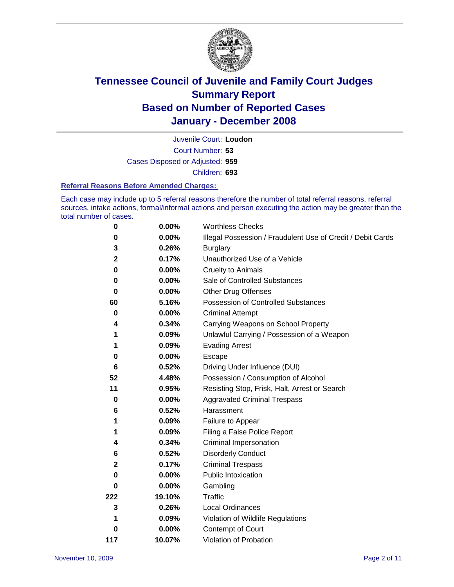

Court Number: **53** Juvenile Court: **Loudon** Cases Disposed or Adjusted: **959** Children: **693**

#### **Referral Reasons Before Amended Charges:**

Each case may include up to 5 referral reasons therefore the number of total referral reasons, referral sources, intake actions, formal/informal actions and person executing the action may be greater than the total number of cases.

| 0           | 0.00%    | <b>Worthless Checks</b>                                     |
|-------------|----------|-------------------------------------------------------------|
| 0           | 0.00%    | Illegal Possession / Fraudulent Use of Credit / Debit Cards |
| 3           | 0.26%    | <b>Burglary</b>                                             |
| $\mathbf 2$ | 0.17%    | Unauthorized Use of a Vehicle                               |
| $\bf{0}$    | 0.00%    | <b>Cruelty to Animals</b>                                   |
| 0           | 0.00%    | Sale of Controlled Substances                               |
| $\bf{0}$    | 0.00%    | <b>Other Drug Offenses</b>                                  |
| 60          | 5.16%    | Possession of Controlled Substances                         |
| $\mathbf 0$ | $0.00\%$ | <b>Criminal Attempt</b>                                     |
| 4           | 0.34%    | Carrying Weapons on School Property                         |
| 1           | 0.09%    | Unlawful Carrying / Possession of a Weapon                  |
| 1           | 0.09%    | <b>Evading Arrest</b>                                       |
| 0           | 0.00%    | Escape                                                      |
| 6           | 0.52%    | Driving Under Influence (DUI)                               |
| 52          | 4.48%    | Possession / Consumption of Alcohol                         |
| 11          | 0.95%    | Resisting Stop, Frisk, Halt, Arrest or Search               |
| 0           | 0.00%    | <b>Aggravated Criminal Trespass</b>                         |
| 6           | 0.52%    | Harassment                                                  |
| 1           | 0.09%    | Failure to Appear                                           |
| 1           | 0.09%    | Filing a False Police Report                                |
| 4           | 0.34%    | Criminal Impersonation                                      |
| 6           | 0.52%    | <b>Disorderly Conduct</b>                                   |
| $\mathbf 2$ | 0.17%    | <b>Criminal Trespass</b>                                    |
| 0           | 0.00%    | <b>Public Intoxication</b>                                  |
| 0           | 0.00%    | Gambling                                                    |
| 222         | 19.10%   | Traffic                                                     |
| 3           | 0.26%    | <b>Local Ordinances</b>                                     |
| 1           | $0.09\%$ | Violation of Wildlife Regulations                           |
| 0           | 0.00%    | Contempt of Court                                           |
| 117         | 10.07%   | Violation of Probation                                      |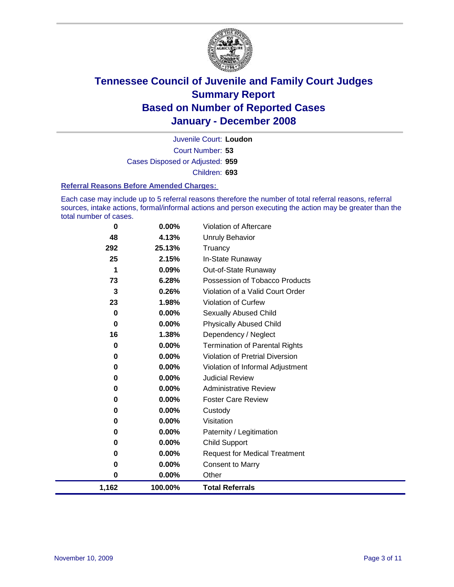

Court Number: **53** Juvenile Court: **Loudon** Cases Disposed or Adjusted: **959** Children: **693**

#### **Referral Reasons Before Amended Charges:**

Each case may include up to 5 referral reasons therefore the number of total referral reasons, referral sources, intake actions, formal/informal actions and person executing the action may be greater than the total number of cases.

| 1,162 | 100.00% | <b>Total Referrals</b>                 |
|-------|---------|----------------------------------------|
| 0     | 0.00%   | Other                                  |
| 0     | 0.00%   | <b>Consent to Marry</b>                |
| 0     | 0.00%   | <b>Request for Medical Treatment</b>   |
| 0     | 0.00%   | <b>Child Support</b>                   |
| 0     | 0.00%   | Paternity / Legitimation               |
| 0     | 0.00%   | Visitation                             |
| 0     | 0.00%   | Custody                                |
| 0     | 0.00%   | <b>Foster Care Review</b>              |
| 0     | 0.00%   | <b>Administrative Review</b>           |
| 0     | 0.00%   | <b>Judicial Review</b>                 |
| 0     | 0.00%   | Violation of Informal Adjustment       |
| 0     | 0.00%   | <b>Violation of Pretrial Diversion</b> |
| 0     | 0.00%   | <b>Termination of Parental Rights</b>  |
| 16    | 1.38%   | Dependency / Neglect                   |
| 0     | 0.00%   | <b>Physically Abused Child</b>         |
| 0     | 0.00%   | <b>Sexually Abused Child</b>           |
| 23    | 1.98%   | Violation of Curfew                    |
| 3     | 0.26%   | Violation of a Valid Court Order       |
| 73    | 6.28%   | Possession of Tobacco Products         |
| 1     | 0.09%   | Out-of-State Runaway                   |
| 25    | 2.15%   | In-State Runaway                       |
| 292   | 25.13%  | Truancy                                |
| 48    | 4.13%   | Unruly Behavior                        |
| 0     | 0.00%   | Violation of Aftercare                 |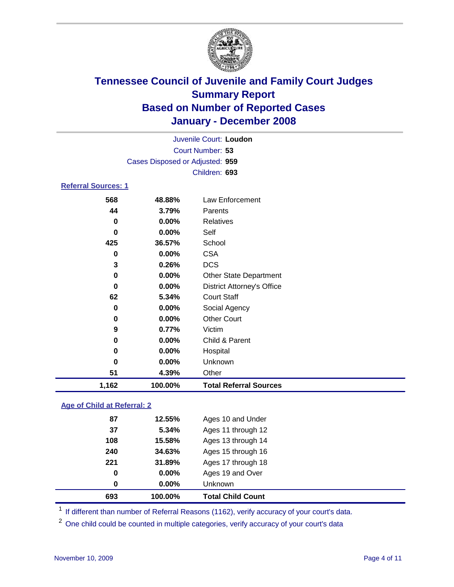

|                            |                                 | Juvenile Court: Loudon |  |
|----------------------------|---------------------------------|------------------------|--|
|                            |                                 | Court Number: 53       |  |
|                            | Cases Disposed or Adjusted: 959 |                        |  |
|                            |                                 | Children: 693          |  |
| <b>Referral Sources: 1</b> |                                 |                        |  |
| 568                        | 48.88%                          | Law Enforcement        |  |
| 44                         | $3.79\%$                        | Parents                |  |

| 1,162 | 100.00%  | <b>Total Referral Sources</b>     |
|-------|----------|-----------------------------------|
| 51    | 4.39%    | Other                             |
| 0     | 0.00%    | <b>Unknown</b>                    |
| 0     | 0.00%    | Hospital                          |
| 0     | 0.00%    | Child & Parent                    |
| 9     | 0.77%    | Victim                            |
| 0     | 0.00%    | <b>Other Court</b>                |
| 0     | 0.00%    | Social Agency                     |
| 62    | 5.34%    | <b>Court Staff</b>                |
| 0     | $0.00\%$ | <b>District Attorney's Office</b> |
| 0     | 0.00%    | <b>Other State Department</b>     |
| 3     | 0.26%    | DCS                               |
| 0     | 0.00%    | <b>CSA</b>                        |
| 425   | 36.57%   | School                            |
| 0     | 0.00%    | Self                              |
| 0     | 0.00%    | Relatives                         |
| 44    | 3.79%    | Parents                           |

### **Age of Child at Referral: 2**

| 240<br>221<br>0<br>0 | 34.63%<br>31.89%<br>$0.00\%$<br>0.00% | Ages 15 through 16<br>Ages 17 through 18<br>Ages 19 and Over<br><b>Unknown</b> |
|----------------------|---------------------------------------|--------------------------------------------------------------------------------|
|                      |                                       |                                                                                |
|                      |                                       |                                                                                |
|                      |                                       |                                                                                |
|                      |                                       |                                                                                |
| 108                  | 15.58%                                | Ages 13 through 14                                                             |
| 37                   | 5.34%                                 | Ages 11 through 12                                                             |
| 87                   | 12.55%                                | Ages 10 and Under                                                              |
|                      |                                       |                                                                                |

<sup>1</sup> If different than number of Referral Reasons (1162), verify accuracy of your court's data.

One child could be counted in multiple categories, verify accuracy of your court's data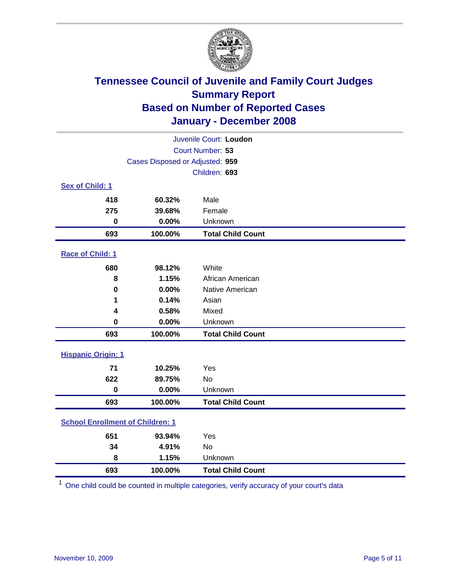

|                                         |                                 | Juvenile Court: Loudon   |
|-----------------------------------------|---------------------------------|--------------------------|
|                                         |                                 | Court Number: 53         |
|                                         | Cases Disposed or Adjusted: 959 |                          |
|                                         |                                 | Children: 693            |
| Sex of Child: 1                         |                                 |                          |
| 418                                     | 60.32%                          | Male                     |
| 275                                     | 39.68%                          | Female                   |
| $\bf{0}$                                | 0.00%                           | Unknown                  |
| 693                                     | 100.00%                         | <b>Total Child Count</b> |
| Race of Child: 1                        |                                 |                          |
| 680                                     | 98.12%                          | White                    |
| 8                                       | 1.15%                           | African American         |
| $\bf{0}$                                | 0.00%                           | Native American          |
| 1                                       | 0.14%                           | Asian                    |
| 4                                       | 0.58%                           | Mixed                    |
| $\bf{0}$                                | 0.00%                           | Unknown                  |
| 693                                     | 100.00%                         | <b>Total Child Count</b> |
| <b>Hispanic Origin: 1</b>               |                                 |                          |
| 71                                      | 10.25%                          | Yes                      |
| 622                                     | 89.75%                          | <b>No</b>                |
| $\mathbf 0$                             | 0.00%                           | Unknown                  |
| 693                                     | 100.00%                         | <b>Total Child Count</b> |
| <b>School Enrollment of Children: 1</b> |                                 |                          |
| 651                                     | 93.94%                          | Yes                      |
| 34                                      | 4.91%                           | No                       |
| 8                                       | 1.15%                           | Unknown                  |
| 693                                     | 100.00%                         | <b>Total Child Count</b> |

One child could be counted in multiple categories, verify accuracy of your court's data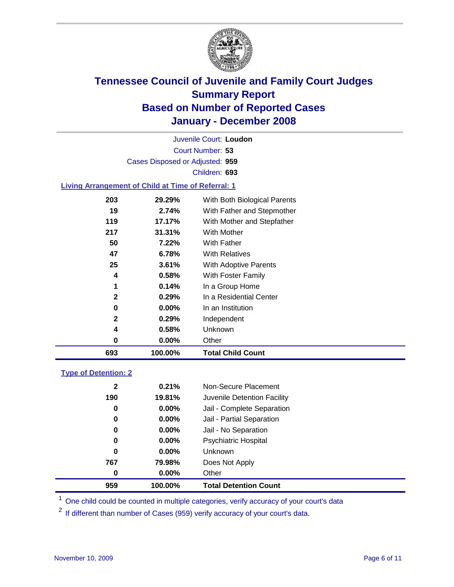

Court Number: **53** Juvenile Court: **Loudon** Cases Disposed or Adjusted: **959** Children: **693**

#### **Living Arrangement of Child at Time of Referral: 1**

| 693          | 100.00% | <b>Total Child Count</b>     |
|--------------|---------|------------------------------|
| 0            | 0.00%   | Other                        |
| 4            | 0.58%   | Unknown                      |
| $\mathbf{2}$ | 0.29%   | Independent                  |
| 0            | 0.00%   | In an Institution            |
| $\mathbf{2}$ | 0.29%   | In a Residential Center      |
| 1            | 0.14%   | In a Group Home              |
| 4            | 0.58%   | With Foster Family           |
| 25           | 3.61%   | With Adoptive Parents        |
| 47           | 6.78%   | <b>With Relatives</b>        |
| 50           | 7.22%   | With Father                  |
| 217          | 31.31%  | With Mother                  |
| 119          | 17.17%  | With Mother and Stepfather   |
| 19           | 2.74%   | With Father and Stepmother   |
| 203          | 29.29%  | With Both Biological Parents |
|              |         |                              |

#### **Type of Detention: 2**

| 959          | 100.00%  | <b>Total Detention Count</b> |  |
|--------------|----------|------------------------------|--|
| 0            | $0.00\%$ | Other                        |  |
| 767          | 79.98%   | Does Not Apply               |  |
| 0            | $0.00\%$ | Unknown                      |  |
| 0            | 0.00%    | <b>Psychiatric Hospital</b>  |  |
| 0            | 0.00%    | Jail - No Separation         |  |
| 0            | $0.00\%$ | Jail - Partial Separation    |  |
| 0            | $0.00\%$ | Jail - Complete Separation   |  |
| 190          | 19.81%   | Juvenile Detention Facility  |  |
| $\mathbf{2}$ | 0.21%    | Non-Secure Placement         |  |
|              |          |                              |  |

<sup>1</sup> One child could be counted in multiple categories, verify accuracy of your court's data

<sup>2</sup> If different than number of Cases (959) verify accuracy of your court's data.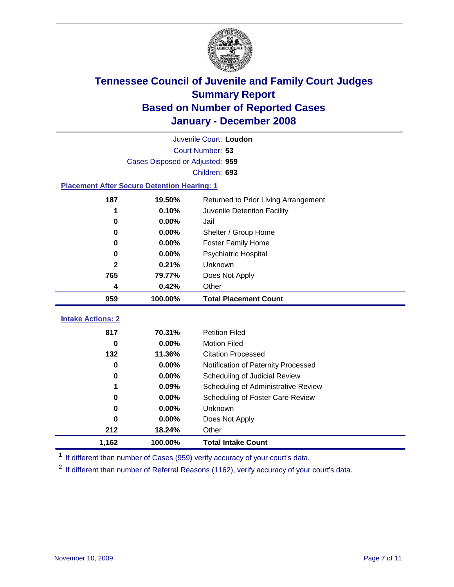

|                                                    | Juvenile Court: Loudon          |                                      |  |  |  |
|----------------------------------------------------|---------------------------------|--------------------------------------|--|--|--|
|                                                    |                                 | Court Number: 53                     |  |  |  |
|                                                    | Cases Disposed or Adjusted: 959 |                                      |  |  |  |
|                                                    |                                 | Children: 693                        |  |  |  |
| <b>Placement After Secure Detention Hearing: 1</b> |                                 |                                      |  |  |  |
| 187                                                | 19.50%                          | Returned to Prior Living Arrangement |  |  |  |
| 1                                                  | 0.10%                           | Juvenile Detention Facility          |  |  |  |
| $\bf{0}$                                           | 0.00%                           | Jail                                 |  |  |  |
| $\bf{0}$                                           | 0.00%                           | Shelter / Group Home                 |  |  |  |
| $\bf{0}$                                           | 0.00%                           | <b>Foster Family Home</b>            |  |  |  |
| $\bf{0}$                                           | 0.00%                           | Psychiatric Hospital                 |  |  |  |
| $\mathbf{2}$                                       | 0.21%                           | Unknown                              |  |  |  |
| 765                                                | 79.77%                          | Does Not Apply                       |  |  |  |
| 4                                                  | 0.42%                           | Other                                |  |  |  |
| 959                                                | 100.00%                         | <b>Total Placement Count</b>         |  |  |  |
|                                                    |                                 |                                      |  |  |  |
| <b>Intake Actions: 2</b>                           |                                 |                                      |  |  |  |
| 817                                                | 70.31%                          | <b>Petition Filed</b>                |  |  |  |
| $\bf{0}$                                           | 0.00%                           | <b>Motion Filed</b>                  |  |  |  |
| 132                                                | 11.36%                          | <b>Citation Processed</b>            |  |  |  |
| $\bf{0}$                                           | 0.00%                           | Notification of Paternity Processed  |  |  |  |
| 0                                                  | 0.00%                           | Scheduling of Judicial Review        |  |  |  |
| 1                                                  | 0.09%                           | Scheduling of Administrative Review  |  |  |  |
| $\bf{0}$                                           | 0.00%                           | Scheduling of Foster Care Review     |  |  |  |
| $\bf{0}$                                           | 0.00%                           | Unknown                              |  |  |  |
| $\bf{0}$                                           | 0.00%                           | Does Not Apply                       |  |  |  |
| 212                                                | 18.24%                          | Other                                |  |  |  |
| 1,162                                              | 100.00%                         | <b>Total Intake Count</b>            |  |  |  |

<sup>1</sup> If different than number of Cases (959) verify accuracy of your court's data.

<sup>2</sup> If different than number of Referral Reasons (1162), verify accuracy of your court's data.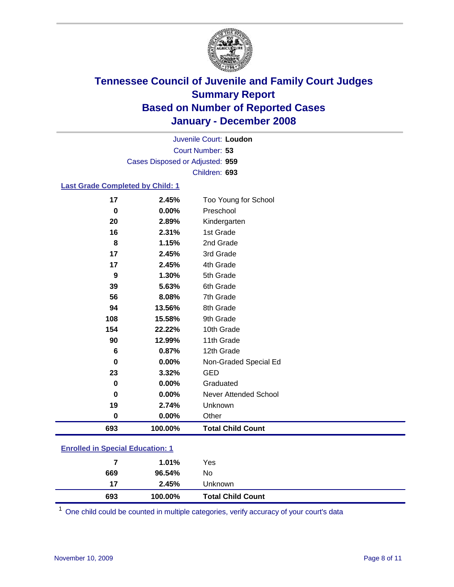

Court Number: **53** Juvenile Court: **Loudon** Cases Disposed or Adjusted: **959** Children: **693**

#### **Last Grade Completed by Child: 1**

| 17       | 2.45%   | Too Young for School     |
|----------|---------|--------------------------|
| $\bf{0}$ | 0.00%   | Preschool                |
| 20       | 2.89%   | Kindergarten             |
| 16       | 2.31%   | 1st Grade                |
| 8        | 1.15%   | 2nd Grade                |
| 17       | 2.45%   | 3rd Grade                |
| 17       | 2.45%   | 4th Grade                |
| 9        | 1.30%   | 5th Grade                |
| 39       | 5.63%   | 6th Grade                |
| 56       | 8.08%   | 7th Grade                |
| 94       | 13.56%  | 8th Grade                |
| 108      | 15.58%  | 9th Grade                |
| 154      | 22.22%  | 10th Grade               |
| 90       | 12.99%  | 11th Grade               |
| 6        | 0.87%   | 12th Grade               |
| $\bf{0}$ | 0.00%   | Non-Graded Special Ed    |
| 23       | 3.32%   | <b>GED</b>               |
| $\bf{0}$ | 0.00%   | Graduated                |
| 0        | 0.00%   | Never Attended School    |
| 19       | 2.74%   | Unknown                  |
| $\bf{0}$ | 0.00%   | Other                    |
| 693      | 100.00% | <b>Total Child Count</b> |

### **Enrolled in Special Education: 1**

<sup>1</sup> One child could be counted in multiple categories, verify accuracy of your court's data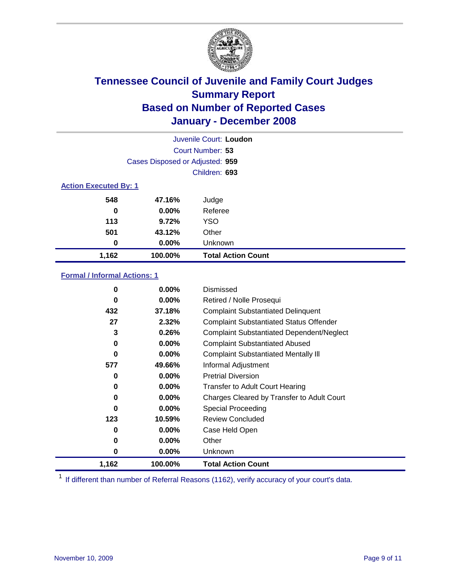

|                              |                                 | Juvenile Court: Loudon    |
|------------------------------|---------------------------------|---------------------------|
|                              |                                 | Court Number: 53          |
|                              | Cases Disposed or Adjusted: 959 |                           |
|                              |                                 | Children: 693             |
| <b>Action Executed By: 1</b> |                                 |                           |
| 548                          | 47.16%                          | Judge                     |
| 0                            | $0.00\%$                        | Referee                   |
| 113                          | 9.72%                           | <b>YSO</b>                |
| 501                          | 43.12%                          | Other                     |
| 0                            | $0.00\%$                        | Unknown                   |
| 1,162                        | 100.00%                         | <b>Total Action Count</b> |

### **Formal / Informal Actions: 1**

| 0     | $0.00\%$ | Dismissed                                        |
|-------|----------|--------------------------------------------------|
| 0     | $0.00\%$ | Retired / Nolle Prosequi                         |
| 432   | 37.18%   | <b>Complaint Substantiated Delinquent</b>        |
| 27    | 2.32%    | <b>Complaint Substantiated Status Offender</b>   |
| 3     | 0.26%    | <b>Complaint Substantiated Dependent/Neglect</b> |
| 0     | 0.00%    | <b>Complaint Substantiated Abused</b>            |
| 0     | 0.00%    | <b>Complaint Substantiated Mentally III</b>      |
| 577   | 49.66%   | Informal Adjustment                              |
| 0     | $0.00\%$ | <b>Pretrial Diversion</b>                        |
| 0     | $0.00\%$ | <b>Transfer to Adult Court Hearing</b>           |
| 0     | $0.00\%$ | Charges Cleared by Transfer to Adult Court       |
| 0     | $0.00\%$ | Special Proceeding                               |
| 123   | 10.59%   | <b>Review Concluded</b>                          |
| 0     | $0.00\%$ | Case Held Open                                   |
| 0     | $0.00\%$ | Other                                            |
| 0     | $0.00\%$ | Unknown                                          |
| 1,162 | 100.00%  | <b>Total Action Count</b>                        |

<sup>1</sup> If different than number of Referral Reasons (1162), verify accuracy of your court's data.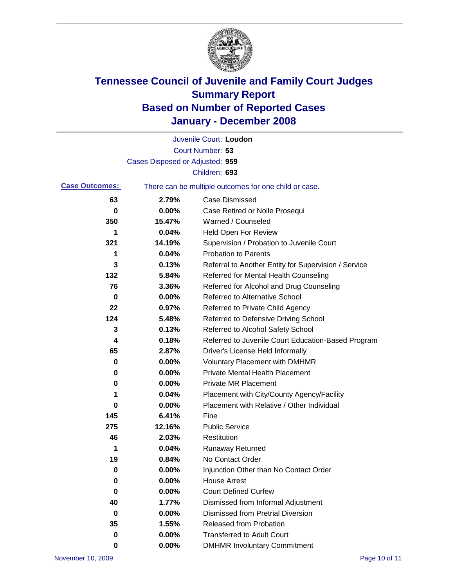

|                       |                                 | Juvenile Court: Loudon                                |
|-----------------------|---------------------------------|-------------------------------------------------------|
|                       |                                 | Court Number: 53                                      |
|                       | Cases Disposed or Adjusted: 959 |                                                       |
|                       |                                 | Children: 693                                         |
| <b>Case Outcomes:</b> |                                 | There can be multiple outcomes for one child or case. |
| 63                    | 2.79%                           | <b>Case Dismissed</b>                                 |
| $\bf{0}$              | 0.00%                           | Case Retired or Nolle Prosequi                        |
| 350                   | 15.47%                          | Warned / Counseled                                    |
| 1                     | 0.04%                           | <b>Held Open For Review</b>                           |
| 321                   | 14.19%                          | Supervision / Probation to Juvenile Court             |
| 1                     | 0.04%                           | <b>Probation to Parents</b>                           |
| 3                     | 0.13%                           | Referral to Another Entity for Supervision / Service  |
| 132                   | 5.84%                           | Referred for Mental Health Counseling                 |
| 76                    | 3.36%                           | Referred for Alcohol and Drug Counseling              |
| 0                     | 0.00%                           | <b>Referred to Alternative School</b>                 |
| 22                    | 0.97%                           | Referred to Private Child Agency                      |
| 124                   | 5.48%                           | Referred to Defensive Driving School                  |
| 3                     | 0.13%                           | Referred to Alcohol Safety School                     |
| 4                     | 0.18%                           | Referred to Juvenile Court Education-Based Program    |
| 65                    | 2.87%                           | Driver's License Held Informally                      |
| 0                     | 0.00%                           | <b>Voluntary Placement with DMHMR</b>                 |
| 0                     | 0.00%                           | <b>Private Mental Health Placement</b>                |
| 0                     | 0.00%                           | <b>Private MR Placement</b>                           |
| 1                     | 0.04%                           | Placement with City/County Agency/Facility            |
| 0                     | 0.00%                           | Placement with Relative / Other Individual            |
| 145                   | 6.41%                           | Fine                                                  |
| 275                   | 12.16%                          | <b>Public Service</b>                                 |
| 46                    | 2.03%                           | Restitution                                           |
| 1                     | 0.04%                           | <b>Runaway Returned</b>                               |
| 19                    | 0.84%                           | No Contact Order                                      |
| 0                     | 0.00%                           | Injunction Other than No Contact Order                |
| 0                     | 0.00%                           | <b>House Arrest</b>                                   |
| 0                     | 0.00%                           | <b>Court Defined Curfew</b>                           |
| 40                    | 1.77%                           | Dismissed from Informal Adjustment                    |
| 0                     | 0.00%                           | <b>Dismissed from Pretrial Diversion</b>              |
| 35                    | 1.55%                           | <b>Released from Probation</b>                        |
| 0                     | 0.00%                           | <b>Transferred to Adult Court</b>                     |
| 0                     | 0.00%                           | <b>DMHMR Involuntary Commitment</b>                   |